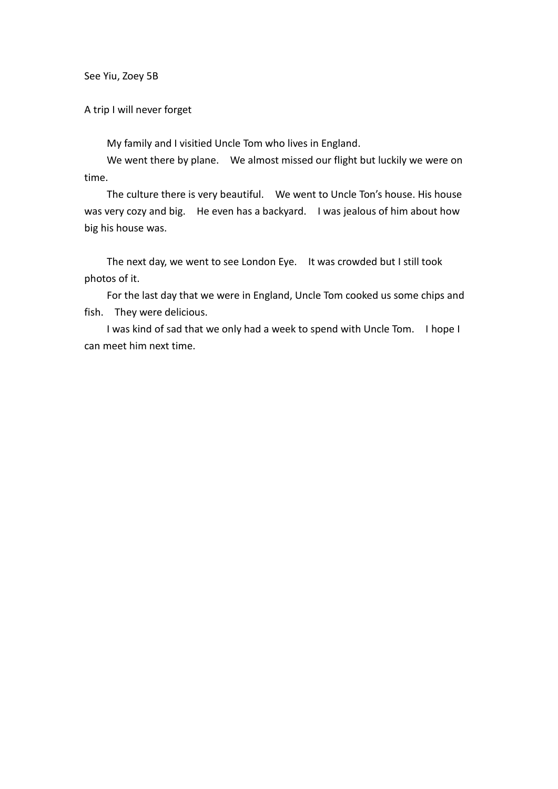See Yiu, Zoey 5B

A trip I will never forget

My family and I visitied Uncle Tom who lives in England.

We went there by plane. We almost missed our flight but luckily we were on time.

The culture there is very beautiful. We went to Uncle Ton's house. His house was very cozy and big. He even has a backyard. I was jealous of him about how big his house was.

The next day, we went to see London Eye. It was crowded but I still took photos of it.

For the last day that we were in England, Uncle Tom cooked us some chips and fish. They were delicious.

I was kind of sad that we only had a week to spend with Uncle Tom. I hope I can meet him next time.